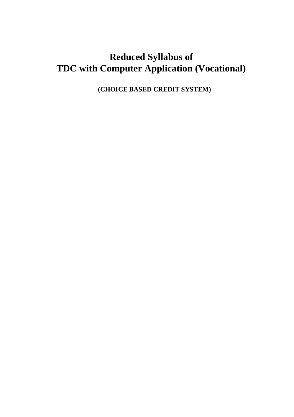# **Reduced Syllabus of TDC with Computer Application (Vocational)**

**(CHOICE BASED CREDIT SYSTEM)**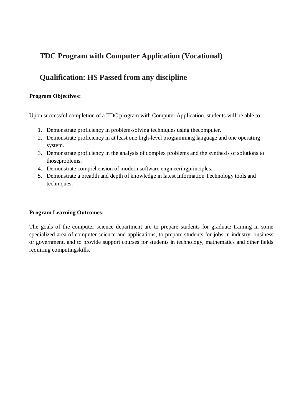## **TDC Program with Computer Application (Vocational)**

## **Qualification: HS Passed from any discipline**

### **Program Objectives:**

Upon successful completion of a TDC program with Computer Application, students will be able to:

- 1. Demonstrate proficiency in problem-solving techniques using thecomputer.
- 2. Demonstrate proficiency in at least one high-level programming language and one operating system.
- 3. Demonstrate proficiency in the analysis of complex problems and the synthesis of solutions to thoseproblems.
- 4. Demonstrate comprehension of modern software engineeringprinciples.
- 5. Demonstrate a breadth and depth of knowledge in latest Information Technology tools and techniques.

### **Program Learning Outcomes:**

The goals of the computer science department are to prepare students for graduate training in some specialized area of computer science and applications, to prepare students for jobs in industry, business or government, and to provide support courses for students in technology, mathematics and other fields requiring computingskills.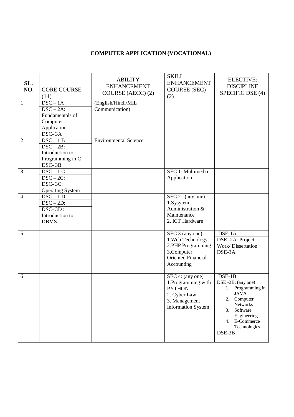### **COMPUTER APPLICATION (VOCATIONAL)**

| SL.<br>NO.     | <b>CORE COURSE</b><br>(14)                                                                           | <b>ABILITY</b><br><b>ENHANCEMENT</b><br>COURSE (AECC) (2) | <b>SKILL</b><br><b>ENHANCEMENT</b><br><b>COURSE (SEC)</b><br>(2)                                                       | <b>ELECTIVE:</b><br><b>DISCIPLINE</b><br>SPECIFIC DSE (4)                                                                                                                             |
|----------------|------------------------------------------------------------------------------------------------------|-----------------------------------------------------------|------------------------------------------------------------------------------------------------------------------------|---------------------------------------------------------------------------------------------------------------------------------------------------------------------------------------|
| $\mathbf{1}$   | $DSC - 1A$<br>$DSC - 2A$ :<br>Fundamentals of<br>Computer<br>Application<br>DSC-3A                   | (English/Hindi/MIL<br>Communication)                      |                                                                                                                        |                                                                                                                                                                                       |
| $\overline{2}$ | $DSC - 1B$<br>$\overline{\text{DSC} - 2\text{B}}$ :<br>Introduction to<br>Programming in C<br>DSC-3B | <b>Environmental Science</b>                              |                                                                                                                        |                                                                                                                                                                                       |
| 3              | $DSC-1C$<br>$DSC-2C$ :<br>DSC-3C:<br><b>Operating System</b>                                         |                                                           | SEC 1: Multimedia<br>Application                                                                                       |                                                                                                                                                                                       |
| $\overline{4}$ | $DSC - 1D$<br>$DSC - 2D$ :<br>$\overline{\text{DSC-3D}}$ :<br>Introduction to<br><b>DBMS</b>         |                                                           | SEC 2: (any one)<br>1.Sysytem<br>Administration &<br>Maintenance<br>2. ICT Hardware                                    |                                                                                                                                                                                       |
| 5              |                                                                                                      |                                                           | SEC 3:(any one)<br>1. Web Technology<br>2.PHP Programming<br>3.Computer<br><b>Oriented Financial</b><br>Accounting     | DSE-1A<br>DSE-2A: Project<br>Work/Dissertation<br>DSE-3A                                                                                                                              |
| 6              |                                                                                                      |                                                           | SEC 4: (any one)<br>1. Programming with<br><b>PYTHON</b><br>2. Cyber Law<br>3. Management<br><b>Information System</b> | $DSE-1B$<br>DSE-2B: (any one)<br>Programming in<br>1.<br><b>JAVA</b><br>2.<br>Computer<br><b>Networks</b><br>3.<br>Software<br>Engineering<br>4. E-Commerce<br>Technologies<br>DSE-3B |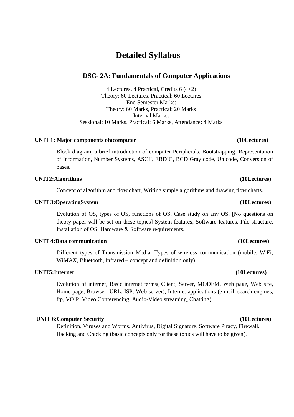## **Detailed Syllabus**

### **DSC- 2A: Fundamentals of Computer Applications**

4 Lectures, 4 Practical, Credits 6 (4+2) Theory: 60 Lectures, Practical: 60 Lectures End Semester Marks: Theory: 60 Marks, Practical: 20 Marks Internal Marks: Sessional: 10 Marks, Practical: 6 Marks, Attendance: 4 Marks

### **UNIT 1: Major components ofacomputer (10Lectures)**

Block diagram, a brief introduction of computer Peripherals. Bootstrapping, Representation of Information, Number Systems, ASCII, EBDIC, BCD Gray code, Unicode, Conversion of bases.

### **UNIT2:Algorithms (10Lectures)**

Concept of algorithm and flow chart, Writing simple algorithms and drawing flow charts.

### **UNIT 3:OperatingSystem (10Lectures)**

Evolution of OS, types of OS, functions of OS, Case study on any OS, [No questions on theory paper will be set on these topics] System features, Software features, File structure, Installation of OS, Hardware & Software requirements.

### **UNIT 4:Data communication (10Lectures)**

Different types of Transmission Media, Types of wireless communication (mobile, WiFi, WiMAX, Bluetooth, Infrared – concept and definition only)

### **UNIT5:Internet (10Lectures)**

Evolution of internet, Basic internet terms( Client, Server, MODEM, Web page, Web site, Home page, Browser, URL, ISP, Web server), Internet applications (e-mail, search engines, ftp, VOIP, Video Conferencing, Audio-Video streaming, Chatting).

### **UNIT 6:Computer Security (10Lectures)**

Definition, Viruses and Worms, Antivirus, Digital Signature, Software Piracy, Firewall. Hacking and Cracking (basic concepts only for these topics will have to be given).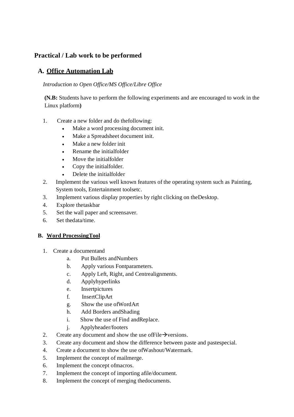### **Practical / Lab work to be performed**

### **A. Office Automation Lab**

### *Introduction to Open Office/MS Office/Libre Office*

**(N.B:** Students have to perform the following experiments and are encouraged to work in the Linux platform**)**

- 1. Create a new folder and do thefollowing:
	- Make a word processing document init.
	- Make a Spreadsheet document init.
	- Make a new folder init
	- Rename the initialfolder
	- Move the initialfolder
	- Copy the initialfolder.
	- Delete the initialfolder
- 2. Implement the various well known features of the operating system such as Painting, System tools, Entertainment toolsetc.
- 3. Implement various display properties by right clicking on theDesktop.
- 4. Explore thetaskbar
- 5. Set the wall paper and screensaver.
- 6. Set thedata/time.

### **B. Word ProcessingTool**

- 1. Create a documentand
	- a. Put Bullets andNumbers
	- b. Apply various Fontparameters.
	- c. Apply Left, Right, and Centrealignments.
	- d. Applyhyperlinks
	- e. Insertpictures
	- f. InsertClipArt
	- g. Show the use ofWordArt
	- h. Add Borders andShading
	- i. Show the use of Find andReplace.
	- j. Applyheader/footers
- 2. Create any document and show the use of File  $\rightarrow$  versions.
- 3. Create any document and show the difference between paste and pastespecial.
- 4. Create a document to show the use ofWashout/Watermark.
- 5. Implement the concept of mailmerge.
- 6. Implement the concept ofmacros.
- 7. Implement the concept of importing afile/document.
- 8. Implement the concept of merging thedocuments.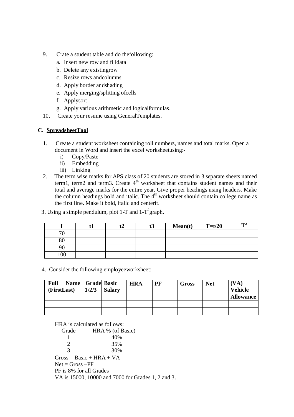- 9. Crate a student table and do thefollowing:
	- a. Insert new row and filldata
	- b. Delete any existingrow
	- c. Resize rows andcolumns
	- d. Apply border andshading
	- e. Apply merging/splitting ofcells
	- f. Applysort
	- g. Apply various arithmetic and logicalformulas.
- 10. Create your resume using GeneralTemplates.

### **C. SpreadsheetTool**

- 1. Create a student worksheet containing roll numbers, names and total marks. Open a document in Word and insert the excel worksheetusing:
	- i) Copy/Paste
	- ii) Embedding
	- iii) Linking
- 2. The term wise marks for APS class of 20 students are stored in 3 separate sheets named term1, term2 and term3. Create  $4<sup>th</sup>$  worksheet that contains student names and their total and average marks for the entire year. Give proper headings using headers. Make the column headings bold and italic. The  $4<sup>th</sup>$  worksheet should contain college name as the first line. Make it bold, italic and centerit.

3. Using a simple pendulum, plot 1-T and  $1-T^2$ graph.

|        |  | Mean(t) | $T=t/20$ | $\mathbf{T}^2$ |
|--------|--|---------|----------|----------------|
| $\pi$  |  |         |          |                |
| $80\,$ |  |         |          |                |
| 90     |  |         |          |                |
| 00     |  |         |          |                |

4. Consider the following employeeworksheet:-

| <b>Full</b><br>(FirstLast) | Name Grade Basic<br>1/2/3 | Salary | <b>HRA</b> | PF | Gross | <b>Net</b> | (VA)<br><b>Vehicle</b><br><b>Allowance</b> |
|----------------------------|---------------------------|--------|------------|----|-------|------------|--------------------------------------------|
|                            |                           |        |            |    |       |            |                                            |
|                            |                           |        |            |    |       |            |                                            |

HRA is calculated as follows:

Grade HRA % (of Basic) 1 40%  $\frac{2}{3}$   $\frac{35\%}{30\%}$ 30%  $Gross = Basic + HRA + VA$  $Net = Gross - PF$ PF is 8% for all Grades

VA is 15000, 10000 and 7000 for Grades 1, 2 and 3.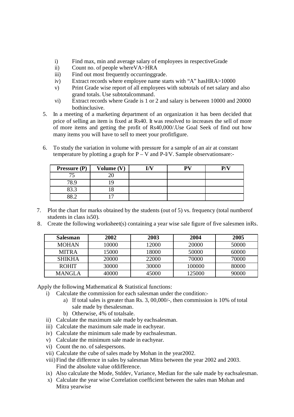- i) Find max, min and average salary of employees in respectiveGrade
- ii) Count no. of people whereVA>HRA
- iii) Find out most frequently occurringgrade.
- iv) Extract records where employee name starts with "A" hasHRA>10000
- v) Print Grade wise report of all employees with subtotals of net salary and also grand totals. Use subtotalcommand.
- vi) Extract records where Grade is 1 or 2 and salary is between 10000 and 20000 bothinclusive.
- 5. In a meeting of a marketing department of an organization it has been decided that price of selling an item is fixed at Rs40. It was resolved to increases the sell of more of more items and getting the profit of Rs40,000/.Use Goal Seek of find out how many items you will have to sell to meet your profitfigure.
- 6. To study the variation in volume with pressure for a sample of an air at constant temperature by plotting a graph for  $P - V$  and  $P-V$ . Sample observations are:-

| <b>Pressure (P)</b> | Volume (V) | T /T 7 | DV. | D/T) |
|---------------------|------------|--------|-----|------|
| 75                  |            |        |     |      |
| 78.9                |            |        |     |      |
| 83.3                |            |        |     |      |
| 00 <sub>0</sub>     |            |        |     |      |

- 7. Plot the chart for marks obtained by the students (out of 5) vs. frequency (total numberof students in class is50).
- 8. Create the following worksheet(s) containing a year wise sale figure of five salesmen inRs.

| <b>Salesman</b> | 2002  | 2003  | 2004   | 2005  |
|-----------------|-------|-------|--------|-------|
| <b>MOHAN</b>    | 10000 | 12000 | 20000  | 50000 |
| <b>MITRA</b>    | 15000 | 18000 | 50000  | 60000 |
| <b>SHIKHA</b>   | 20000 | 22000 | 70000  | 70000 |
| <b>ROHIT</b>    | 30000 | 30000 | 100000 | 80000 |
| <b>MANGLA</b>   | 40000 | 45000 | 125000 | 90000 |

Apply the following Mathematical & Statistical functions:

- i) Calculate the commission for each salesman under the condition:
	- a) If total sales is greater than Rs. 3, 00,000/-, then commission is 10% of total sale made by thesalesman.
		- b) Otherwise, 4% of totalsale.
- ii) Calculate the maximum sale made by eachsalesman.
- iii) Calculate the maximum sale made in eachyear.
- iv) Calculate the minimum sale made by eachsalesman.
- v) Calculate the minimum sale made in eachyear.
- vi) Count the no. of salespersons.
- vii) Calculate the cube of sales made by Mohan in the year2002.
- viii) Find the difference in sales by salesman Mitra between the year 2002 and 2003. Find the absolute value ofdifference.
- ix) Also calculate the Mode, Stddev, Variance, Median for the sale made by eachsalesman.
- x) Calculate the year wise Correlation coefficient between the sales man Mohan and Mitra yearwise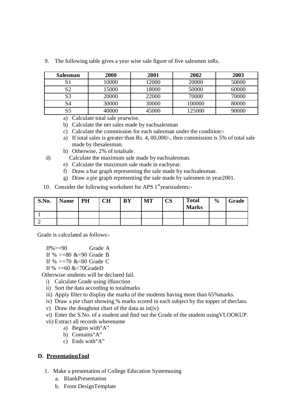| <b>Salesman</b> | <b>2000</b> | 2001  | 2002   | 2003  |
|-----------------|-------------|-------|--------|-------|
|                 | 10000       | 12000 | 20000  | 50000 |
| S2              | 15000       | 18000 | 50000  | 60000 |
| S3              | 20000       | 22000 | 70000  | 70000 |
| S4              | 30000       | 30000 | 100000 | 80000 |
| S <sub>5</sub>  | 40000       | 45000 | 125000 | 90000 |

9. The following table gives a year wise sale figure of five salesmen inRs.

a) Calculate total sale yearwise.

- b) Calculate the net sales made by eachsalesman
- c) Calculate the commission for each salesman under the condition:-
- a) If total sales is greater than Rs. 4, 00,000/-, then commission is 5% of total sale made by thesalesman.
- b) Otherwise, 2% of totalsale.
- d) Calculate the maximum sale made by eachsalesman.
	- e) Calculate the maximum sale made in eachyear.
	- f) Draw a bar graph representing the sale made by eachsalesman.
	- g) Draw a pie graph representing the sale made by salesmen in year2001.
- 10. Consider the following worksheet for APS  $1<sup>st</sup>$  yearstudents:-

| S.No. | <b>Name</b> | PH | <b>CH</b> | <b>BY</b> | <b>MT</b> | $\mathbf{CS}$ | <b>Total</b><br><b>Marks</b> | $\frac{0}{0}$ | Grade |
|-------|-------------|----|-----------|-----------|-----------|---------------|------------------------------|---------------|-------|
|       |             |    |           |           |           |               |                              |               |       |
|       |             |    |           |           |           |               |                              |               |       |

Grade is calculated as follows:-

If% $> = 90$  Grade A If % >=80 &<90 Grade B

If %  $> = 70$  &  $< 80$  Grade C

If % >=60 &<70GradeD

Otherwise students will be declared fail.

- i) Calculate Grade using iffunction
- ii) Sort the data according to totalmarks
- iii) Apply filter to display the marks of the students having more than 65% marks.
- iv) Draw a pie chart showing % marks scored in each subject by the topper of theclass.
- v) Draw the doughnut chart of the data as in(iv)
- vi) Enter the S.No. of a student and find out the Grade of the student usingVLOOKUP.
- vii) Extract all records wherename
	- a) Begins with"A"
	- b) Contains"A"
	- c) Ends with"A"

### **D. PresentationTool**

- 1. Make a presentation of College Education Systemusing
	- a. BlankPresentation
	- b. From DesignTemplate